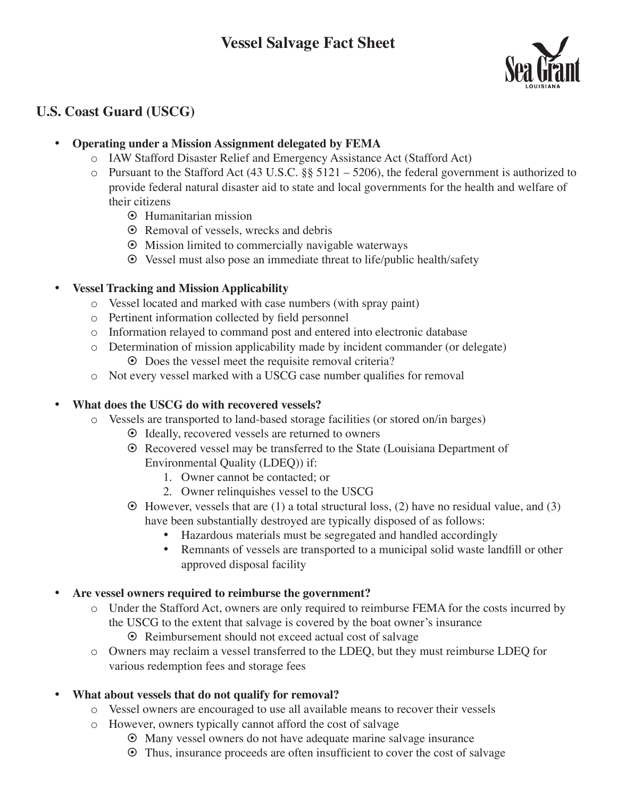

# **U.S. Coast Guard (USCG)**

#### **Operating under a Mission Assignment delegated by FEMA**

- o IAW Stafford Disaster Relief and Emergency Assistance Act (Stafford Act)
- $\circ$  Pursuant to the Stafford Act (43 U.S.C. §§ 5121 5206), the federal government is authorized to provide federal natural disaster aid to state and local governments for the health and welfare of their citizens
	- **☉** Humanitarian mission
	- **☉** Removal of vessels, wrecks and debris
	- § Mission limited to commercially navigable waterways
	- § Vessel must also pose an immediate threat to life/public health/safety

#### • **Vessel Tracking and Mission Applicability**

- o Vessel located and marked with case numbers (with spray paint)
- o Pertinent information collected by field personnel
- o Information relayed to command post and entered into electronic database
- o Determination of mission applicability made by incident commander (or delegate) **☉** Does the vessel meet the requisite removal criteria?
- o Not every vessel marked with a USCG case number qualifies for removal

### **• What does the USCG do with recovered vessels?**

- $\circ$  Vessels are transported to land-based storage facilities (or stored on/in barges)
	- ⊙ Ideally, recovered vessels are returned to owners
	- **☉** Recovered vessel may be transferred to the State (Louisiana Department of Environmental Quality (LDEQ)) if:
		- 1. Owner cannot be contacted; or
		- 2. Owner relinquishes vessel to the USCG
	- $\odot$  However, vessels that are (1) a total structural loss, (2) have no residual value, and (3) have been substantially destroyed are typically disposed of as follows:
		- Hazardous materials must be segregated and handled accordingly
		- Remnants of vessels are transported to a municipal solid waste landfill or other approved disposal facility

#### Are vessel owners required to reimburse the government?

- o Under the Stafford Act, owners are only required to reimburse FEMA for the costs incurred by the USCG to the extent that salvage is covered by the boat owner's insurance
	- § Reimbursement should not exceed actual cost of salvage
- o Owners may reclaim a vessel transferred to the LDEQ, but they must reimburse LDEQ for various redemption fees and storage fees

### **• What about vessels that do not qualify for removal?**

- o Vessel owners are encouraged to use all available means to recover their vessels
- o However, owners typically cannot afford the cost of salvage
	- § Many vessel owners do not have adequate marine salvage insurance
	- § Thus, insurance proceeds are often insufficient to cover the cost of salvage